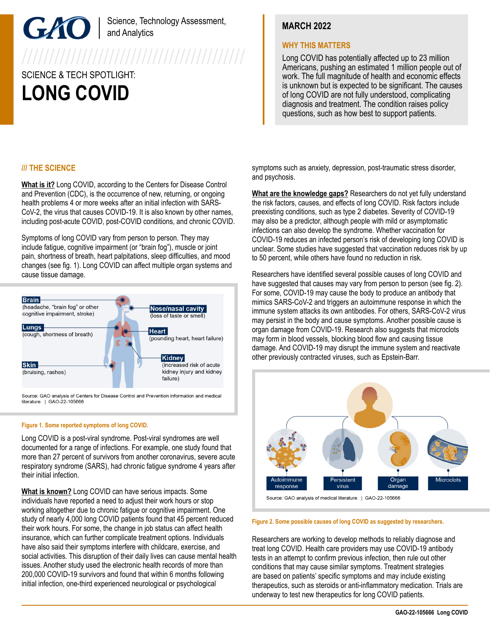### Science, Technology Assessment, and Analytics

# SCIENCE & TECH SPOTLIGHT: **LONG COVID**

## **MARCH 2022**

### **WHY THIS MATTERS**

Long COVID has potentially affected up to 23 million Americans, pushing an estimated 1 million people out of work. The full magnitude of health and economic effects is unknown but is expected to be significant. The causes of long COVID are not fully understood, complicating diagnosis and treatment. The condition raises policy questions, such as how best to support patients.

### **/// THE SCIENCE**

**What is it?** Long COVID, according to the Centers for Disease Control and Prevention (CDC), is the occurrence of new, returning, or ongoing health problems 4 or more weeks after an initial infection with SARS-CoV-2, the virus that causes COVID-19. It is also known by other names, including post-acute COVID, post-COVID conditions, and chronic COVID.

Symptoms of long COVID vary from person to person. They may include fatigue, cognitive impairment (or "brain fog"), muscle or joint pain, shortness of breath, heart palpitations, sleep difficulties, and mood changes (see fig. 1). Long COVID can affect multiple organ systems and cause tissue damage.



Source: GAO analysis of Centers for Disease Control and Prevention information and medical literature. | GAO-22-105666

### **Figure 1. Some reported symptoms of long COVID.**

Long COVID is a post-viral syndrome. Post-viral syndromes are well documented for a range of infections. For example, one study found that more than 27 percent of survivors from another coronavirus, severe acute respiratory syndrome (SARS), had chronic fatigue syndrome 4 years after their initial infection.

**What is known?** Long COVID can have serious impacts. Some individuals have reported a need to adjust their work hours or stop working altogether due to chronic fatigue or cognitive impairment. One study of nearly 4,000 long COVID patients found that 45 percent reduced their work hours. For some, the change in job status can affect health insurance, which can further complicate treatment options. Individuals have also said their symptoms interfere with childcare, exercise, and social activities. This disruption of their daily lives can cause mental health issues. Another study used the electronic health records of more than 200,000 COVID-19 survivors and found that within 6 months following initial infection, one-third experienced neurological or psychological

symptoms such as anxiety, depression, post-traumatic stress disorder, and psychosis.

**What are the knowledge gaps?** Researchers do not yet fully understand the risk factors, causes, and effects of long COVID. Risk factors include preexisting conditions, such as type 2 diabetes. Severity of COVID-19 may also be a predictor, although people with mild or asymptomatic infections can also develop the syndrome. Whether vaccination for COVID-19 reduces an infected person's risk of developing long COVID is unclear. Some studies have suggested that vaccination reduces risk by up to 50 percent, while others have found no reduction in risk.

Researchers have identified several possible causes of long COVID and have suggested that causes may vary from person to person (see fig. 2). For some, COVID-19 may cause the body to produce an antibody that mimics SARS-CoV-2 and triggers an autoimmune response in which the immune system attacks its own antibodies. For others, SARS-CoV-2 virus may persist in the body and cause symptoms. Another possible cause is organ damage from COVID-19. Research also suggests that microclots may form in blood vessels, blocking blood flow and causing tissue damage. And COVID-19 may disrupt the immune system and reactivate other previously contracted viruses, such as Epstein-Barr.



Source: GAO analysis of medical literature. | GAO-22-105666

#### **Figure 2. Some possible causes of long COVID as suggested by researchers.**

Researchers are working to develop methods to reliably diagnose and treat long COVID. Health care providers may use COVID-19 antibody tests in an attempt to confirm previous infection, then rule out other conditions that may cause similar symptoms. Treatment strategies are based on patients' specific symptoms and may include existing therapeutics, such as steroids or anti-inflammatory medication. Trials are underway to test new therapeutics for long COVID patients.